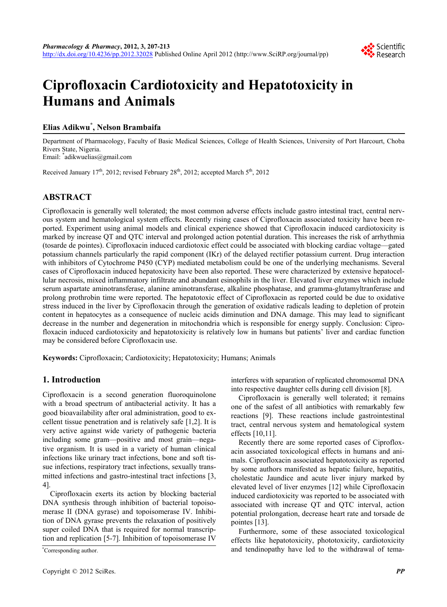

# **Ciprofloxacin Cardiotoxicity and Hepatotoxicity in Humans and Animals**

## **Elias Adikwu\* , Nelson Brambaifa**

Department of Pharmacology, Faculty of Basic Medical Sciences, College of Health Sciences, University of Port Harcourt, Choba Rivers State, Nigeria.

Email: \* adikwuelias@gmail.com

Received January  $17<sup>th</sup>$ , 2012; revised February 28<sup>th</sup>, 2012; accepted March  $5<sup>th</sup>$ , 2012

## **ABSTRACT**

Ciprofloxacin is generally well tolerated; the most common adverse effects include gastro intestinal tract, central nervous system and hematological system effects. Recently rising cases of Ciprofloxacin associated toxicity have been reported. Experiment using animal models and clinical experience showed that Ciprofloxacin induced cardiotoxicity is marked by increase QT and QTC interval and prolonged action potential duration. This increases the risk of arrhythmia (tosarde de pointes). Ciprofloxacin induced cardiotoxic effect could be associated with blocking cardiac voltage—gated potassium channels particularly the rapid component (IKr) of the delayed rectifier potassium current. Drug interaction with inhibitors of Cytochrome P450 (CYP) mediated metabolism could be one of the underlying mechanisms. Several cases of Ciprofloxacin induced hepatoxicity have been also reported. These were characterized by extensive hepatocellular necrosis, mixed inflammatory infiltrate and abundant esinophils in the liver. Elevated liver enzymes which include serum aspartate aminotransferase, alanine aminotransferase, alkaline phosphatase, and gramma-glutamyltranferase and prolong prothrobin time were reported. The hepatotoxic effect of Ciprofloxacin as reported could be due to oxidative stress induced in the liver by Ciprofloxacin through the generation of oxidative radicals leading to depletion of protein content in hepatocytes as a consequence of nucleic acids diminution and DNA damage. This may lead to significant decrease in the number and degeneration in mitochondria which is responsible for energy supply. Conclusion: Ciprofloxacin induced cardiotoxicity and hepatotoxicity is relatively low in humans but patients' liver and cardiac function may be considered before Ciprofloxacin use.

**Keywords:** Ciprofloxacin; Cardiotoxicity; Hepatotoxicity; Humans; Animals

## **1. Introduction**

Ciprofloxacin is a second generation fluoroquinolone with a broad spectrum of antibacterial activity. It has a good bioavailability after oral administration, good to excellent tissue penetration and is relatively safe [1,2]. It is very active against wide variety of pathogenic bacteria including some gram—positive and most grain—negative organism. It is used in a variety of human clinical infections like urinary tract infections, bone and soft tissue infections, respiratory tract infections, sexually transmitted infections and gastro-intestinal tract infections [3, 4].

Ciprofloxacin exerts its action by blocking bacterial DNA synthesis through inhibition of bacterial topoisomerase II (DNA gyrase) and topoisomerase IV. Inhibition of DNA gyrase prevents the relaxation of positively super coiled DNA that is required for normal transcription and replication [5-7]. Inhibition of topoisomerase IV

Corresponding author.

interferes with separation of replicated chromosomal DNA into respective daughter cells during cell division [8].

Ciprofloxacin is generally well tolerated; it remains one of the safest of all antibiotics with remarkably few reactions [9]. These reactions include gastrointestinal tract, central nervous system and hematological system effects [10,11].

Recently there are some reported cases of Ciprofloxacin associated toxicological effects in humans and animals. Ciprofloxacin associated hepatotoxicity as reported by some authors manifested as hepatic failure, hepatitis, cholestatic Jaundice and acute liver injury marked by elevated level of liver enzymes [12] while Ciprofloxacin induced cardiotoxicity was reported to be associated with associated with increase QT and QTC interval, action potential prolongation, decrease heart rate and torsade de pointes [13].

Furthermore, some of these associated toxicological effects like hepatotoxicity, phototoxicity, cardiotoxicity and tendinopathy have led to the withdrawal of tema-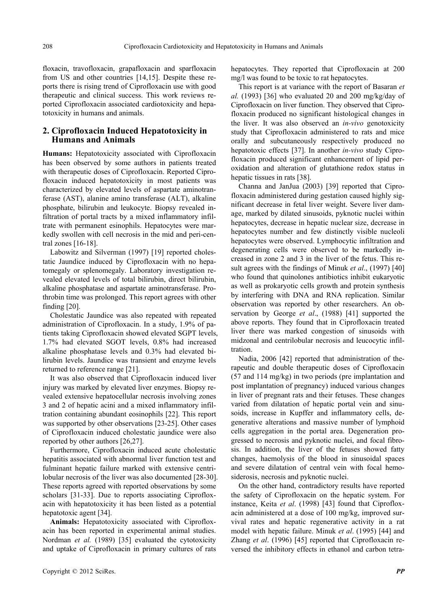floxacin, travofloxacin, grapafloxacin and sparfloxacin from US and other countries [14,15]. Despite these reports there is rising trend of Ciprofloxacin use with good therapeutic and clinical success. This work reviews reported Ciprofloxacin associated cardiotoxicity and hepatotoxicity in humans and animals.

### **2. Ciprofloxacin Induced Hepatotoxicity in Humans and Animals**

**Humans:** Hepatotoxicity associated with Ciprofloxacin has been observed by some authors in patients treated with therapeutic doses of Ciprofloxacin. Reported Ciprofloxacin induced hepatotoxicity in most patients was characterized by elevated levels of aspartate aminotranferase (AST), alanine amino transferase (ALT), alkaline phosphate, bilirubin and leukocyte. Biopsy revealed infiltration of portal tracts by a mixed inflammatory infiltrate with permanent esinophils. Hepatocytes were markedly swollen with cell necrosis in the mid and peri-central zones [16-18].

Labowitz and Silverman (1997) [19] reported cholestatic Jaundice induced by Ciprofloxacin with no hepatomegaly or splenomegaly. Laboratory investigation revealed elevated levels of total bilirubin, direct bilirubin, alkaline phosphatase and aspartate aminotransferase. Prothrobin time was prolonged. This report agrees with other finding [20].

Cholestatic Jaundice was also repeated with repeated administration of Ciprofloxacin. In a study, 1.9% of patients taking Ciprofloxacin showed elevated SGPT levels, 1.7% had elevated SGOT levels, 0.8% had increased alkaline phosphatase levels and 0.3% had elevated bilirubin levels. Jaundice was transient and enzyme levels returned to reference range [21].

It was also observed that Ciprofloxacin induced liver injury was marked by elevated liver enzymes. Biopsy revealed extensive hepatocellular necrosis involving zones 3 and 2 of hepatic acini and a mixed inflammatory infiltration containing abundant eosinophils [22]. This report was supported by other observations [23-25]. Other cases of Ciprofloxacin induced cholestatic jaundice were also reported by other authors [26,27].

Furthermore, Ciprofloxacin induced acute cholestatic hepatitis associated with abnormal liver function test and fulminant hepatic failure marked with extensive centrilobular necrosis of the liver was also documented [28-30]. These reports agreed with reported observations by some scholars [31-33]. Due to reports associating Ciprofloxacin with hepatotoxicity it has been listed as a potential hepatotoxic agent [34].

**Animals:** Hepatotoxicity associated with Ciprofloxacin has been reported in experimental animal studies. Nordman *et al.* (1989) [35] evaluated the cytotoxicity and uptake of Ciprofloxacin in primary cultures of rats hepatocytes. They reported that Ciprofloxacin at 200 mg/l was found to be toxic to rat hepatocytes.

This report is at variance with the report of Basaran *et al.* (1993) [36] who evaluated 20 and 200 mg/kg/day of Ciprofloxacin on liver function. They observed that Ciprofloxacin produced no significant histological changes in the liver. It was also observed an *in-vivo* genotoxicity study that Ciprofloxacin administered to rats and mice orally and subcutaneously respectively produced no hepatotoxic effects [37]. In another *in-vivo* study Ciprofloxacin produced significant enhancement of lipid peroxidation and alteration of glutathione redox status in hepatic tissues in rats [38].

Channa and JanJua (2003) [39] reported that Ciprofloxacin administered during gestation caused highly significant decrease in fetal liver weight. Severe liver damage, marked by dilated sinusoids, pyknotic nuclei within hepatocytes, decrease in hepatic nuclear size, decrease in hepatocytes number and few distinctly visible nucleoli hepatocytes were observed. Lymphocytic infiltration and degenerating cells were observed to be markedly increased in zone 2 and 3 in the liver of the fetus. This result agrees with the findings of Minuk *et al*., (1997) [40] who found that quinolones antibiotics inhibit eukaryotic as well as prokaryotic cells growth and protein synthesis by interfering with DNA and RNA replication. Similar observation was reported by other researchers. An observation by George *et al*., (1988) [41] supported the above reports. They found that in Ciprofloxacin treated liver there was marked congestion of sinusoids with midzonal and centrilobular necrosis and leucocytic infiltration.

Nadia, 2006 [42] reported that administration of therapeutic and double therapeutic doses of Ciprofloxacin (57 and 114 mg/kg) in two periods (pre implantation and post implantation of pregnancy) induced various changes in liver of pregnant rats and their fetuses. These changes varied from dilatation of hepatic portal vein and sinusoids, increase in Kupffer and inflammatory cells, degenerative alterations and massive number of lymphoid cells aggregation in the portal area. Degeneration progressed to necrosis and pyknotic nuclei, and focal fibrosis. In addition, the liver of the fetuses showed fatty changes, haemolysis of the blood in sinusoidal spaces and severe dilatation of central vein with focal hemosiderosis, necrosis and pyknotic nuclei.

On the other hand, contradictory results have reported the safety of Ciprofloxacin on the hepatic system. For instance, Keita *et al*. (1998) [43] found that Ciprofloxacin administered at a dose of 100 mg/kg, improved survival rates and hepatic regenerative activity in a rat model with hepatic failure. Minuk *et al*. (1995) [44] and Zhang *et al*. (1996) [45] reported that Ciprofloxacin reversed the inhibitory effects in ethanol and carbon tetra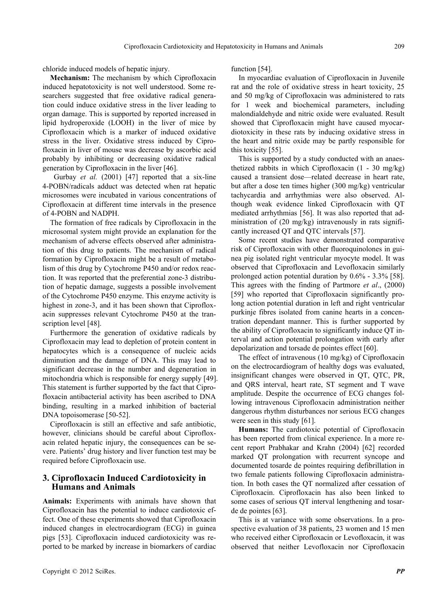chloride induced models of hepatic injury.

**Mechanism:** The mechanism by which Ciprofloxacin induced hepatotoxicity is not well understood. Some researchers suggested that free oxidative radical generation could induce oxidative stress in the liver leading to organ damage. This is supported by reported increased in lipid hydroperoxide (LOOH) in the liver of mice by Ciprofloxacin which is a marker of induced oxidative stress in the liver. Oxidative stress induced by Ciprofloxacin in liver of mouse was decrease by ascorbic acid probably by inhibiting or decreasing oxidative radical generation by Ciprofloxacin in the liver [46].

 Gurbay *et al.* (2001) [47] reported that a six-line 4-POBN/radicals adduct was detected when rat hepatic microsomes were incubated in various concentrations of Ciprofloxacin at different time intervals in the presence of 4-POBN and NADPH.

The formation of free radicals by Ciprofloxacin in the microsomal system might provide an explanation for the mechanism of adverse effects observed after administration of this drug to patients. The mechanism of radical formation by Ciprofloxacin might be a result of metabolism of this drug by Cytochrome P450 and/or redox reaction. It was reported that the preferential zone-3 distribution of hepatic damage, suggests a possible involvement of the Cytochrome P450 enzyme. This enzyme activity is highest in zone-3, and it has been shown that Ciprofloxacin suppresses relevant Cytochrome P450 at the transcription level [48].

Furthermore the generation of oxidative radicals by Ciprofloxacin may lead to depletion of protein content in hepatocytes which is a consequence of nucleic acids diminution and the damage of DNA. This may lead to significant decrease in the number and degeneration in mitochondria which is responsible for energy supply [49]. This statement is further supported by the fact that Ciprofloxacin antibacterial activity has been ascribed to DNA binding, resulting in a marked inhibition of bacterial DNA topoisomerase [50-52].

Ciprofloxacin is still an effective and safe antibiotic, however, clinicians should be careful about Ciprofloxacin related hepatic injury, the consequences can be severe. Patients' drug history and liver function test may be required before Ciprofloxacin use.

### **3. Ciprofloxacin Induced Cardiotoxicity in Humans and Animals**

**Animals:** Experiments with animals have shown that Ciprofloxacin has the potential to induce cardiotoxic effect. One of these experiments showed that Ciprofloxacin induced changes in electrocardiogram (ECG) in guinea pigs [53]. Ciprofloxacin induced cardiotoxicity was reported to be marked by increase in biomarkers of cardiac function [54].

In myocardiac evaluation of Ciprofloxacin in Juvenile rat and the role of oxidative stress in heart toxicity, 25 and 50 mg/kg of Ciprofloxacin was administered to rats for 1 week and biochemical parameters, including malondialdehyde and nitric oxide were evaluated. Result showed that Ciprofloxacin might have caused myocardiotoxicity in these rats by inducing oxidative stress in the heart and nitric oxide may be partly responsible for this toxicity [55].

This is supported by a study conducted with an anaesthetized rabbits in which Ciprofloxacin (1 - 30 mg/kg) caused a transient dose—related decrease in heart rate, but after a dose ten times higher (300 mg/kg) ventricular tachycardia and arrhythmias were also observed. Although weak evidence linked Ciprofloxacin with QT mediated arrhythmias [56]. It was also reported that administration of (20 mg/kg) intravenously in rats significantly increased QT and QTC intervals [57].

Some recent studies have demonstrated comparative risk of Ciprofloxacin with other fluoroquinolones in guinea pig isolated right ventricular myocyte model. It was observed that Ciprofloxacin and Levofloxacin similarly prolonged action potential duration by 0.6% - 3.3% [58]. This agrees with the finding of Partmore *et al*., (2000) [59] who reported that Ciprofloxacin significantly prolong action potential duration in left and right ventricular purkinje fibres isolated from canine hearts in a concentration dependant manner. This is further supported by the ability of Ciprofloxacin to significantly induce QT interval and action potential prolongation with early after depolarization and torsade de pointes effect [60].

The effect of intravenous (10 mg/kg) of Ciprofloxacin on the electrocardiogram of healthy dogs was evaluated, insignificant changes were observed in QT, QTC, PR, and QRS interval, heart rate, ST segment and T wave amplitude. Despite the occurrence of ECG changes following intravenous Ciprofloxacin administration neither dangerous rhythm disturbances nor serious ECG changes were seen in this study [61].

**Humans:** The cardiotoxic potential of Ciprofloxacin has been reported from clinical experience. In a more recent report Prabhakar and Krahn (2004) [62] recorded marked QT prolongation with recurrent syncope and documented tosarde de pointes requiring defibrillation in two female patients following Ciprofloxacin administration. In both cases the QT normalized after cessation of Ciprofloxacin. Ciprofloxacin has also been linked to some cases of serious QT interval lengthening and tosarde de pointes [63].

This is at variance with some observations. In a prospective evaluation of 38 patients, 23 women and 15 men who received either Ciprofloxacin or Levofloxacin, it was observed that neither Levofloxacin nor Ciprofloxacin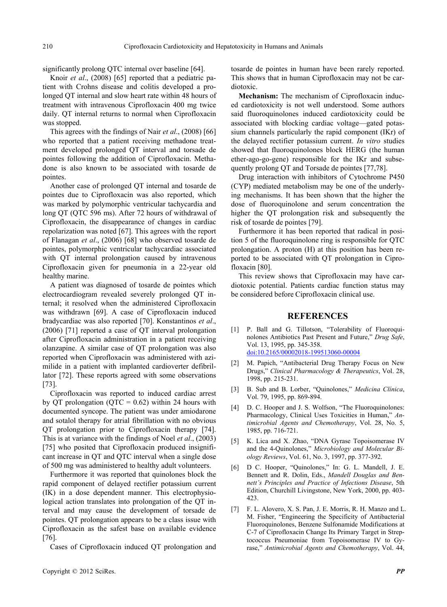significantly prolong QTC internal over baseline [64].

Knoir *et al*., (2008) [65] reported that a pediatric patient with Crohns disease and colitis developed a prolonged QT internal and slow heart rate within 48 hours of treatment with intravenous Ciprofloxacin 400 mg twice daily. QT internal returns to normal when Ciprofloxacin was stopped.

This agrees with the findings of Nair *et al*., (2008) [66] who reported that a patient receiving methadone treatment developed prolonged QT interval and torsade de pointes following the addition of Ciprofloxacin. Methadone is also known to be associated with tosarde de pointes.

Another case of prolonged QT internal and tosarde de pointes due to Ciprofloxacin was also reported, which was marked by polymorphic ventricular tachycardia and long QT (QTC 596 ms). After 72 hours of withdrawal of Ciprofloxacin, the disappearance of changes in cardiac repolarization was noted [67]. This agrees with the report of Flanagan *et al*., (2006) [68] who observed tosarde de pointes, polymorphic ventricular tachycardiac associated with QT internal prolongation caused by intravenous Ciprofloxacin given for pneumonia in a 22-year old healthy marine.

A patient was diagnosed of tosarde de pointes which electrocardiogram revealed severely prolonged QT internal; it resolved when the administered Ciprofloxacin was withdrawn [69]. A case of Ciprofloxacin induced bradycardiac was also reported [70]. Konstantinos *et al*., (2006) [71] reported a case of QT interval prolongation after Ciprofloxacin administration in a patient receiving olanzapine. A similar case of QT prolongation was also reported when Ciprofloxacin was administered with azimilide in a patient with implanted cardioverter defibrillator [72]. These reports agreed with some observations [73].

Ciprofloxacin was reported to induced cardiac arrest by QT prolongation (QTC =  $0.62$ ) within 24 hours with documented syncope. The patient was under amiodarone and sotalol therapy for atrial fibrillation with no obvious QT prolongation prior to Ciprofloxacin therapy [74]. This is at variance with the findings of Noel *et al*., (2003) [75] who posited that Ciprofloxacin produced insignificant increase in QT and QTC interval when a single dose of 500 mg was administered to healthy adult volunteers.

Furthermore it was reported that quinolones block the rapid component of delayed rectifier potassium current (IK) in a dose dependent manner. This electrophysiological action translates into prolongation of the QT interval and may cause the development of torsade de pointes. QT prolongation appears to be a class issue with Ciprofloxacin as the safest base on available evidence [76].

Cases of Ciprofloxacin induced QT prolongation and

tosarde de pointes in human have been rarely reported. This shows that in human Ciprofloxacin may not be cardiotoxic.

**Mechanism:** The mechanism of Ciprofloxacin induced cardiotoxicity is not well understood. Some authors said fluoroquinolones induced cardiotoxicity could be associated with blocking cardiac voltage—gated potassium channels particularly the rapid component (IKr) of the delayed rectifier potassium current. *In vitro* studies showed that fluoroquinolones block HERG (the human ether-ago-go-gene) responsible for the IKr and subsequently prolong QT and Torsade de pointes [77,78].

Drug interaction with inhibitors of Cytochrome P450 (CYP) mediated metabolism may be one of the underlying mechanisms. It has been shown that the higher the dose of fluoroquinolone and serum concentration the higher the QT prolongation risk and subsequently the risk of tosarde de pointes [79].

Furthermore it has been reported that radical in position 5 of the fluoroquinolone ring is responsible for QTC prolongation. A proton (H) at this position has been reported to be associated with QT prolongation in Ciprofloxacin [80].

This review shows that Ciprofloxacin may have cardiotoxic potential. Patients cardiac function status may be considered before Ciprofloxacin clinical use.

#### **REFERENCES**

- [1] P. Ball and G. Tillotson, "Tolerability of Fluoroquinolones Antibiotics Past Present and Future," *Drug Safe*, Vol. 13, 1995, pp. 345-358. [doi:10.2165/00002018-199513060-00004](http://dx.doi.org/10.2165/00002018-199513060-00004)
- [2] M. Papich, "Antibacterial Drug Therapy Focus on New Drugs," *Clinical Pharmacology & Therapeutics*, Vol. 28, 1998, pp. 215-231.
- [3] B. Sub and B. Lorber, "Quinolones," *Medicina Clínica*, Vol. 79, 1995, pp. 869-894.
- [4] D. C. Hooper and J. S. Wolfson, "The Fluoroquinolones: Pharmacology, Clinical Uses Toxicities in Human," *Antimicrobial Agents and Chemotherapy*, Vol. 28, No. 5, 1985, pp. 716-721.
- [5] K. Lica and X. Zhao, "DNA Gyrase Topoisomerase IV and the 4-Quinolones," *Microbiology and Molecular Biology Reviews*, Vol. 61, No. 3, 1997, pp. 377-392.
- [6] D C. Hooper, "Quinolones," In: G. L. Mandell, J. E. Bennett and R. Dolin, Eds., *Mandell Douglas and Bennett's Principles and Practice of Infections Disease*, 5th Edition, Churchill Livingstone, New York, 2000, pp. 403- 423.
- [7] F. L. Alovero, X. S. Pan, J. E. Morris, R. H. Manzo and L. M. Fisher, "Engineering the Specificity of Antibacterial Fluoroquinolones, Benzene Sulfonamide Modifications at C-7 of Ciprofloxacin Change Its Primary Target in Streptococcus Pneumoniae from Topoisomerase IV to Gyrase," *Antimicrobial Agents and Chemotherapy*, Vol. 44,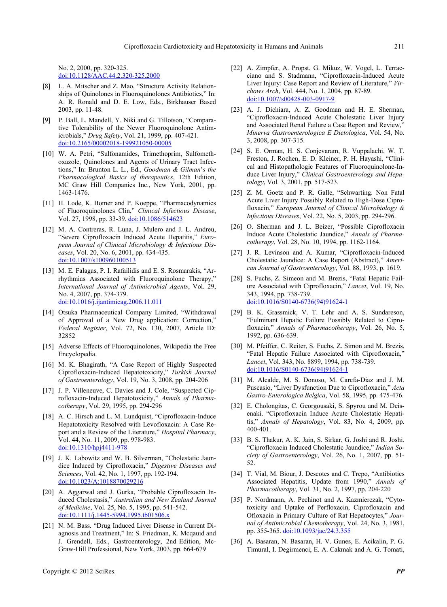No. 2, 2000, pp. 320-325. [doi:10.1128/AAC.44.2.320-325.2000](http://dx.doi.org/10.1128/AAC.44.2.320-325.2000)

- [8] L. A. Mitscher and Z. Mao, "Structure Activity Relationships of Quinolones in Fluoroquinolones Antibiotics," In: A. R. Ronald and D. E. Low, Eds., Birkhauser Based 2003, pp. 11-48.
- [9] P. Ball, L. Mandell, Y. Niki and G. Tillotson, "Comparative Tolerability of the Newer Fluoroquinolone Antimicrobials," *Drug Safety*, Vol. 21, 1999, pp. 407-421. [doi:10.2165/00002018-199921050-00005](http://dx.doi.org/10.2165/00002018-199921050-00005)
- [10] W. A. Petri, "Sulfonamides, Trimethoprim, Sulfomethoxazole, Quinolones and Agents of Urinary Tract Infections," In: Brunton L. L., Ed., *Goodman & Gilman*'*s the Pharmacological Basics of therapeutics*, 12th Edition, MC Graw Hill Companies Inc., New York, 2001, pp. 1463-1476.
- [11] H. Lode, K. Bomer and P. Koeppe, "Pharmacodynamics" of Fluoroquinolones Clin," *Clinical Infectious Disease*, Vol. 27, 1998, pp. 33-39. [doi:10.1086/514623](http://dx.doi.org/10.1086/514623)
- [12] M. A. Contreras, R. Luna, J. Mulero and J. L. Andreu, "Severe Ciprofloxacin Induced Acute Hepatitis," *European Journal of Clinical Microbiology & Infectious Diseases*, Vol. 20, No. 6, 2001, pp. 434-435. [doi:10.1007/s100960100513](http://dx.doi.org/10.1007/s100960100513)
- [13] M. E. Falagas, P. I. Rafailidis and E. S. Rosmarakis, "Arrhythmias Associated with Fluoroquinolone Therapy," *International Journal of Antimicrobial Agents*, Vol. 29, No. 4, 2007, pp. 374-379. [doi:10.1016/j.ijantimicag.2006.11.011](http://dx.doi.org/10.1016/j.ijantimicag.2006.11.011)
- [14] Otsuka Pharmaceutical Company Limited, "Withdrawal of Approval of a New Drug application: Correction," *Federal Register*, Vol. 72, No. 130, 2007, Article ID: 32852
- [15] Adverse Effects of Fluoroquinolones, Wikipedia the Free Encyclopedia.
- [16] M. K. Bhagirath, "A Case Report of Highly Suspected Ciprofloxacin-Induced Hepatotoxicity," *Turkish Journal of Gastroenterology*, Vol. 19, No. 3, 2008, pp. 204-206
- [17] J. P. Villeneuve, C. Davies and J. Cole, "Suspected Ciprofloxacin-Induced Hepatotoxicity," *Annals of Pharmacotherapy*, Vol. 29, 1995, pp. 294-296
- [18] A. C. Hirsch and L. M. Lundquist, "Ciprofloxacin-Induce Hepatotoxicity Resolved with Levofloxacin: A Case Report and a Review of the Literature," *Hospital Pharmacy*, Vol. 44, No. 11, 2009, pp. 978-983. [doi:10.1310/hpj4411-978](http://dx.doi.org/10.1310/hpj4411-978)
- [19] J. K. Labowitz and W. B. Silverman, "Cholestatic Jaundice Induced by Ciprofloxacin," *Digestive Diseases and Sciences*, Vol. 42, No. 1, 1997, pp. 192-194. [doi:10.1023/A:1018870029216](http://dx.doi.org/10.1023/A:1018870029216)
- [20] A. Aggarwal and J. Gurka, "Probable Ciprofloxacin Induced Cholestasis," *Australian and New Zealand Journal of Medicine*, Vol. 25, No. 5, 1995, pp. 541-542. [doi:10.1111/j.1445-5994.1995.tb01506.x](http://dx.doi.org/10.1111/j.1445-5994.1995.tb01506.x)
- [21] N. M. Bass. "Drug Induced Liver Disease in Current Diagnosis and Treatment," In: S. Friedman, K. Mcqauid and J. Grendell, Eds., Gastroenterology, 2nd Edition, Mc-Graw-Hill Professional, New York, 2003, pp. 664-679
- [22] A. Zimpfer, A. Propst, G. Mikuz, W. Vogel, L. Terracciano and S. Stadmann, "Ciprofloxacin-Induced Acute Liver Injury: Case Report and Review of Literature," *Virchows Arch*, Vol. 444, No. 1, 2004, pp. 87-89. [doi:10.1007/s00428-003-0917-9](http://dx.doi.org/10.1007/s00428-003-0917-9)
- [23] A. J. Dichiara, A. Z. Goodman and H. E. Sherman, "Ciprofloxacin-Induced Acute Cholestatic Liver Injury and Associated Renal Failure a Case Report and Review," *Minerva Gastroenterologica E Dietologica*, Vol. 54, No. 3, 2008, pp. 307-315.
- [24] S. E. Orman, H. S. Conjevaram, R. Vuppalachi, W. T. Freston, J. Rochen, E. D. Kleiner, P. H. Hayashi, "Clinical and Histopathologic Features of Fluoroquinolone-Induce Liver Injury," *Clinical Gastroenterology and Hepatology*, Vol. 3, 2001, pp. 517-523.
- [25] Z. M. Goetz and P. R. Galle, "Schwarting. Non Fatal Acute Liver Injury Possibly Related to High-Dose Ciprofloxacin," *European Journal of Clinical Microbiology & Infectious Diseases*, Vol. 22, No. 5, 2003, pp. 294-296.
- [26] O. Sherman and J. L. Beizer, "Possible Ciprofloxacin Induce Acute Cholestatic Jaundice," *Annals of Pharmacotherapy*, Vol. 28, No. 10, 1994, pp. 1162-1164.
- [27] J. R. Levinson and A. Kumar, "Ciprofloxacin-Induced Cholestatic Jaundice: A Case Report (Abstract)," *American Journal of Gastroenterology*, Vol. 88, 1993, p. 1619.
- [28] S. Fuchs, Z. Simeon and M. Brezis, "Fatal Hepatic Failure Associated with Ciprofloxacin," *Lancet*, Vol. 19, No. 343, 1994, pp. 738-739. [doi:10.1016/S0140-6736\(94\)91624-1](http://dx.doi.org/10.1016/S0140-6736(94)91624-1)
- [29] B. K. Grassmick, V. T. Lehr and A. S. Sundareson, "Fulminant Hepatic Failure Possibly Related to Ciprofloxacin," *Annals of Pharmacotherapy*, Vol. 26, No. 5, 1992, pp. 636-639.
- [30] M. Pfeiffer, C. Reiter, S. Fuchs, Z. Simon and M. Brezis, "Fatal Hepatic Failure Associated with Ciprofloxacin," *Lancet*, Vol. 343, No. 8899, 1994, pp. 738-739. [doi:10.1016/S0140-6736\(94\)91624-1](http://dx.doi.org/10.1016/S0140-6736(94)91624-1)
- [31] M. Alcalde, M. S. Donoso, M. Carcfa-Diaz and J. M. Puscasio, "Liver Dysfunction Due to Ciprofloxacin," *Acta Gastro-Enterologica Belgica*, Vol. 58, 1995, pp. 475-476.
- [32] E. Cholongitas, C. Georgousaki, S. Spyrou and M. Deisenaki. "Ciprofloxacin Induce Acute Cholestatic Hepatitis," *Annals of Hepatology*, Vol. 83, No. 4, 2009, pp. 400-401.
- [33] B. S. Thakur, A. K. Jain, S. Sirkar, G. Joshi and R. Joshi. "Ciprofloxacin Induced Cholestatic Jaundice," *Indian Society of Gastroenterology*, Vol. 26, No. 1, 2007, pp. 51- 52.
- [34] T. Vial, M. Biour, J. Descotes and C. Trepo, "Antibiotics" Associated Hepatitis, Update from 1990," *Annals of Pharmacotherapy*, Vol. 31, No. 2, 1997, pp. 204-220
- [35] P. Nordmann, A. Pechinot and A. Kazmierczak, "Cytotoxicity and Uptake of Perfloxacin, Ciprofloxacin and Ofloxacin in Primary Culture of Rat Hepatocytes," *Journal of Antimicrobial Chemotherapy*, Vol. 24, No. 3, 1981, pp. 355-365. [doi:10.1093/jac/24.3.355](http://dx.doi.org/10.1093/jac/24.3.355)
- [36] A. Basaran, N. Basaran, H. V. Gunes, E. Acikalin, P. G. Timural, I. Degirmenci, E. A. Cakmak and A. G. Tomati,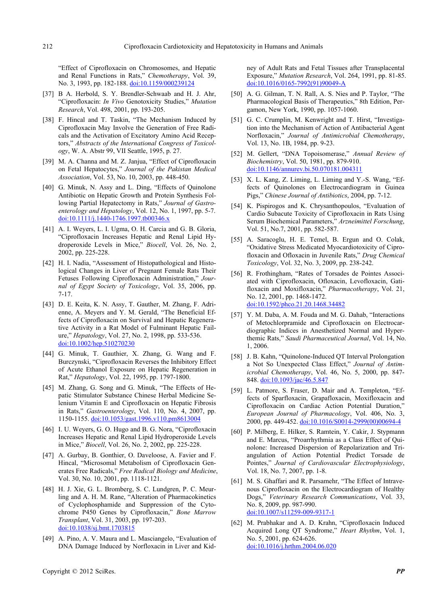"Effect of Ciprofloxacin on Chromosomes, and Hepatic and Renal Functions in Rats," *Chemotherapy*, Vol. 39, No. 3, 1993, pp. 182-188. [doi:10.1159/000239124](http://dx.doi.org/10.1159/000239124)

- [37] B A. Herbold, S. Y. Brendler-Schwaab and H. J. Ahr, "Ciprofloxacin: *In Vivo* Genotoxicity Studies," *Mutation Research*, Vol. 498, 2001, pp. 193-205.
- [38] F. Hincal and T. Taskin, "The Mechanism Induced by Ciprofloxacin May Involve the Generation of Free Radicals and the Activation of Excitatory Amino Acid Receptors," *Abstracts of the International Congress of Toxicology*, W. A. Abstr 99, VII Seattle, 1995, p. 27.
- [39] M. A. Channa and M. Z. Janjua, "Effect of Ciprofloxacin on Fetal Hepatocytes," *Journal of the Pakistan Medical Association*, Vol. 53, No. 10, 2003, pp. 448-450.
- [40] G. Minuk, N. Assy and L. Ding, "Effects of Quinolone Antibiotic on Hepatic Growth and Protein Synthesis Following Partial Hepatectomy in Rats," *Journal of Gastroenterology and Hepatology*, Vol. 12, No. 1, 1997, pp. 5-7. [doi:10.1111/j.1440-1746.1997.tb00346.x](http://dx.doi.org/10.1111/j.1440-1746.1997.tb00346.x)
- [41] A. I. Weyers, L. I. Ugma, O. H. Carcia and G. B. Gloria, "Ciprofloxacin Increases Hepatic and Renal Lipid Hydroperoxide Levels in Mice," *Biocell*, Vol. 26, No. 2, 2002, pp. 225-228.
- [42] H. I. Nadia, "Assessment of Histopathological and Histological Changes in Liver of Pregnant Female Rats Their Fetuses Following Ciprofloxacin Administration," *Journal of Egypt Society of Toxicology*, Vol. 35, 2006, pp. 7-17.
- [43] D. E. Keita, K. N. Assy, T. Gauther, M. Zhang, F. Adrienne, A. Meyers and Y. M. Gerald, "The Beneficial Effects of Ciprofloxacin on Survival and Hepatic Regenerative Activity in a Rat Model of Fulminant Hepatic Failure," *Hepatology*, Vol. 27, No. 2, 1998, pp. 533-536. [doi:10.1002/hep.510270230](http://dx.doi.org/10.1002/hep.510270230)
- [44] G. Minuk, T. Gauthier, X. Zhang, G. Wang and F. Burczynski, "Ciprofloxacin Reverses the Inhibitory Effect of Acute Ethanol Exposure on Hepatic Regeneration in Rat," *Hepatology*, Vol. 22, 1995, pp. 1797-1800.
- [45] M. Zhang, G. Song and G. Minuk, "The Effects of Hepatic Stimulator Substance Chinese Herbal Medicine Selenium Vitamin E and Ciprofloxacin on Hepatic Fibrosis in Rats," *Gastroenterology*, Vol. 110, No. 4, 2007, pp. 1150-1155. [doi:10.1053/gast.1996.v110.pm8613004](http://dx.doi.org/10.1053/gast.1996.v110.pm8613004)
- [46] I. U. Weyers, G. O. Hugo and B. G. Nora, "Ciprofloxacin Increases Hepatic and Renal Lipid Hydroperoxide Levels in Mice," *Biocell*, Vol. 26, No. 2, 2002, pp. 225-228.
- [47] A. Gurbay, B. Gonthier, O. Daveloose, A. Favier and F. Hincal, "Microsomal Metabolism of Ciprofloxacin Generates Free Radicals," *Free Radical Biology and Medicine*, Vol. 30, No. 10, 2001, pp. 1118-1121.
- [48] H. J. Xie, G. L. Bromberg, S. C. Lundgren, P. C. Meurling and A. H. M. Rane, "Alteration of Pharmacokinetics of Cyclophosphamide and Suppression of the Cytochrome P450 Genes by Ciprofloxacin," *Bone Marrow Transplant*, Vol. 31, 2003, pp. 197-203. [doi:10.1038/sj.bmt.1703815](http://dx.doi.org/10.1038/sj.bmt.1703815)
- [49] A. Pino, A. V. Maura and L. Masciangelo, "Evaluation of DNA Damage Induced by Norfloxacin in Liver and Kid-

ney of Adult Rats and Fetal Tissues after Transplacental Exposure," *Mutation Research*, Vol. 264, 1991, pp. 81-85. [doi:10.1016/0165-7992\(91\)90049-A](http://dx.doi.org/10.1016/0165-7992(91)90049-A)

- [50] A. G. Gilman, T. N. Rall, A. S. Nies and P. Taylor, "The Pharmacological Basis of Therapeutics," 8th Edition, Pergamon, New York, 1990, pp. 1057-1060.
- [51] G. C. Crumplin, M. Kenwright and T. Hirst, "Investigation into the Mechanism of Action of Antibacterial Agent Norfloxacin," *Journal of Antimicrobial Chemotherapy*, Vol. 13, No. 1B, 1984, pp. 9-23.
- [52] M. Gellert, "DNA Topoisomerase," *Annual Review of Biochemistry*, Vol. 50, 1981, pp. 879-910. [doi:10.1146/annurev.bi.50.070181.004311](http://dx.doi.org/10.1146/annurev.bi.50.070181.004311)
- [53] X. L. Kang, Z. Liming, L. Liming and Y.-S. Wang, "Effects of Quinolones on Electrocardiogram in Guinea Pigs," *Chinese Journal of Antibiotics*, 2004, pp. 7-12.
- [54] K. Pispirogos and K. Chrysanthopoulos, "Evaluation of Cardio Subacute Toxicity of Ciprofloxacin in Rats Using Serum Biochemical Parameters," *Arzneimittel Forschung*, Vol. 51, No.7, 2001, pp. 582-587.
- [55] A. Saracoglu, H. E. Temel, B. Ergun and O. Colak, "Oxidative Stress Medicated Myocardiotoxicity of Ciprofloxacin and Ofloxacin in Juvenile Rats," *Drug Chemical Toxicology*, Vol. 32, No. 3, 2009, pp. 238-242.
- [56] R. Frothingham, "Rates of Torsades de Pointes Associated with Ciprofloxacin, Ofloxacin, Levofloxacin, Gatifloxacin and Moxifloxacin," *Pharmacotherapy*, Vol. 21, No. 12, 2001, pp. 1468-1472. [doi:10.1592/phco.21.20.1468.34482](http://dx.doi.org/10.1592/phco.21.20.1468.34482)
- [57] Y. M. Daba, A. M. Fouda and M. G. Dahab, "Interactions of Metochlorpramide and Ciprofloxacin on Electrocardiographic Indices in Anesthetized Normal and Hyperthemic Rats," *Saudi Pharmaceutical Journal*, Vol. 14, No. 1, 2006.
- [58] J. B. Kahn, "Quinolone-Induced QT Interval Prolongation a Not So Unexpected Class Effect," *Journal of Antimicrobial Chemotherapy*, Vol. 46, No. 5, 2000, pp. 847- 848. [doi:10.1093/jac/46.5.847](http://dx.doi.org/10.1093/jac/46.5.847)
- [59] L. Patmore, S. Fraser, D. Mair and A. Templeton, "Effects of Sparfloxacin, Grapafloxacin, Moxifloxacin and Ciprofloxacin on Cardiac Action Potential Duration," *European Journal of Pharmacology*, Vol. 406, No. 3, 2000, pp. 449-452. [doi:10.1016/S0014-2999\(00\)00694-4](http://dx.doi.org/10.1016/S0014-2999(00)00694-4)
- [60] P. Milberg, E. Hilker, S. Ramtein, Y. Cakir, J. Stypmann and E. Marcus, "Proarrhythmia as a Class Effect of Quinolone: Increased Dispersion of Repolarization and Triangulation of Action Potential Predict Torsade de Pointes," *Journal of Cardiovascular Electrophysiology*, Vol. 18, No. 7, 2007, pp. 1-8.
- [61] M. S. Ghaffari and R. Parsamehr, "The Effect of Intravenous Ciprofloxacin on the Electrocardiogram of Healthy Dogs," *Veterinary Research Communications*, Vol. 33, No. 8, 2009, pp. 987-990. [doi:10.1007/s11259-009-9317-1](http://dx.doi.org/10.1007/s11259-009-9317-1)
- [62] M. Prabhakar and A. D. Krahn, "Ciprofloxacin Induced Acquired Long QT Syndrome," *Heart Rhythm*, Vol. 1, No. 5, 2001, pp. 624-626. [doi:10.1016/j.hrthm.2004.06.020](http://dx.doi.org/10.1016/j.hrthm.2004.06.020)